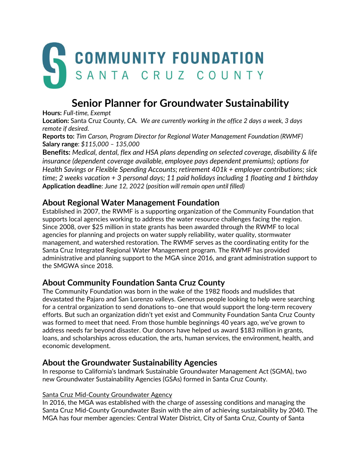

# **Senior Planner for Groundwater Sustainability**

**Hours:** *Full-time, Exempt*

**Location:** Santa Cruz County, CA. *We are currently working in the office 2 days a week, 3 days remote if desired.*

**Reports to:** *Tim Carson, Program Director for Regional Water Management Foundation (RWMF)* **Salary range**: *\$115,000 – 135,000*

**Benefits:** *Medical, dental, flex and HSA plans depending on selected coverage, disability & life insurance (dependent coverage available, employee pays dependent premiums); options for Health Savings or Flexible Spending Accounts; retirement 401k + employer contributions; sick time; 2 weeks vacation + 3 personal days; 11 paid holidays including 1 floating and 1 birthday* **Application deadline**: *June 12, 2022 (position will remain open until filled)*

# **About Regional Water Management Foundation**

Established in 2007, the RWMF is a supporting organization of the Community Foundation that supports local agencies working to address the water resource challenges facing the region. Since 2008, over \$25 million in state grants has been awarded through the RWMF to local agencies for planning and projects on water supply reliability, water quality, stormwater management, and watershed restoration. The RWMF serves as the coordinating entity for the Santa Cruz Integrated Regional Water Management program. The RWMF has provided administrative and planning support to the MGA since 2016, and grant administration support to the SMGWA since 2018.

# **About Community Foundation Santa Cruz County**

The Community Foundation was born in the wake of the 1982 floods and mudslides that devastated the Pajaro and San Lorenzo valleys. Generous people looking to help were searching for a central organization to send donations to–one that would support the long-term recovery efforts. But such an organization didn't yet exist and Community Foundation Santa Cruz County was formed to meet that need. From those humble beginnings 40 years ago, we've grown to address needs far beyond disaster. Our donors have helped us award \$183 million in grants, loans, and scholarships across education, the arts, human services, the environment, health, and economic development.

# **About the Groundwater Sustainability Agencies**

In response to California's landmark Sustainable Groundwater Management Act (SGMA), two new Groundwater Sustainability Agencies (GSAs) formed in Santa Cruz County.

#### Santa Cruz Mid-County Groundwater Agency

In 2016, the MGA was established with the charge of assessing conditions and managing the Santa Cruz Mid-County Groundwater Basin with the aim of achieving sustainability by 2040. The MGA has four member agencies: Central Water District, City of Santa Cruz, County of Santa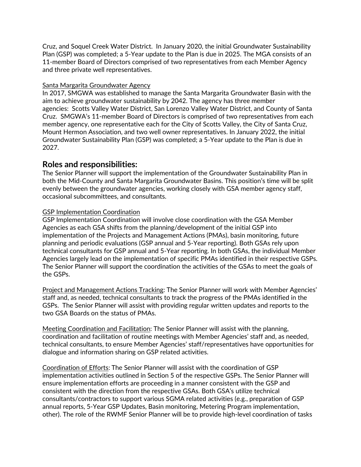Cruz, and Soquel Creek Water District. In January 2020, the initial Groundwater Sustainability Plan (GSP) was completed; a 5-Year update to the Plan is due in 2025. The MGA consists of an 11-member Board of Directors comprised of two representatives from each Member Agency and three private well representatives.

#### Santa Margarita Groundwater Agency

In 2017, SMGWA was established to manage the Santa Margarita Groundwater Basin with the aim to achieve groundwater sustainability by 2042. The agency has three member agencies: [Scotts Valley Water District,](http://svwd.org/) [San Lorenzo Valley Water District,](http://slvwd.com/) and [County of Santa](http://www.co.santa-cruz.ca.us/)  [Cruz.](http://www.co.santa-cruz.ca.us/) SMGWA's 11-member Board of Directors is comprised of two representatives from each member agency, one representative each for the [City of Scotts Valley,](https://www.scottsvalley.org/) the [City of Santa Cruz,](http://www.cityofsantacruz.com/)  [Mount Hermon Association,](https://www.mounthermon.org/) and two [well owner representatives.](https://www.smgwa.org/SMGWAGlossary) In January 2022, the initial Groundwater Sustainability Plan (GSP) was completed; a 5-Year update to the Plan is due in 2027.

## **Roles and responsibilities:**

The Senior Planner will support the implementation of the Groundwater Sustainability Plan in both the Mid-County and Santa Margarita Groundwater Basins. This position's time will be split evenly between the groundwater agencies, working closely with GSA member agency staff, occasional subcommittees, and consultants.

#### GSP Implementation Coordination

GSP Implementation Coordination will involve close coordination with the GSA Member Agencies as each GSA shifts from the planning/development of the initial GSP into implementation of the Projects and Management Actions (PMAs), basin monitoring, future planning and periodic evaluations (GSP annual and 5-Year reporting). Both GSAs rely upon technical consultants for GSP annual and 5-Year reporting. In both GSAs, the individual Member Agencies largely lead on the implementation of specific PMAs identified in their respective GSPs. The Senior Planner will support the coordination the activities of the GSAs to meet the goals of the GSPs.

Project and Management Actions Tracking: The Senior Planner will work with Member Agencies' staff and, as needed, technical consultants to track the progress of the PMAs identified in the GSPs. The Senior Planner will assist with providing regular written updates and reports to the two GSA Boards on the status of PMAs.

Meeting Coordination and Facilitation: The Senior Planner will assist with the planning, coordination and facilitation of routine meetings with Member Agencies' staff and, as needed, technical consultants, to ensure Member Agencies' staff/representatives have opportunities for dialogue and information sharing on GSP related activities.

Coordination of Efforts: The Senior Planner will assist with the coordination of GSP implementation activities outlined in Section 5 of the respective GSPs. The Senior Planner will ensure implementation efforts are proceeding in a manner consistent with the GSP and consistent with the direction from the respective GSAs. Both GSA's utilize technical consultants/contractors to support various SGMA related activities (e.g., preparation of GSP annual reports, 5-Year GSP Updates, Basin monitoring, Metering Program implementation, other). The role of the RWMF Senior Planner will be to provide high-level coordination of tasks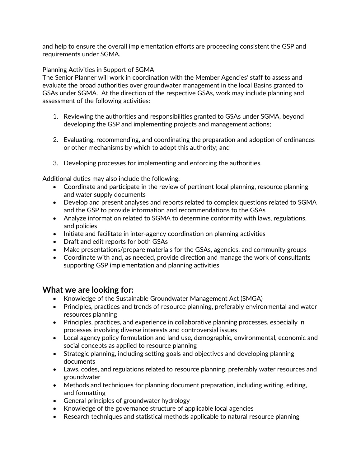and help to ensure the overall implementation efforts are proceeding consistent the GSP and requirements under SGMA.

#### Planning Activities in Support of SGMA

The Senior Planner will work in coordination with the Member Agencies' staff to assess and evaluate the broad authorities over groundwater management in the local Basins granted to GSAs under SGMA. At the direction of the respective GSAs, work may include planning and assessment of the following activities:

- 1. Reviewing the authorities and responsibilities granted to GSAs under SGMA, beyond developing the GSP and implementing projects and management actions;
- 2. Evaluating, recommending, and coordinating the preparation and adoption of ordinances or other mechanisms by which to adopt this authority; and
- 3. Developing processes for implementing and enforcing the authorities.

Additional duties may also include the following:

- Coordinate and participate in the review of pertinent local planning, resource planning and water supply documents
- Develop and present analyses and reports related to complex questions related to SGMA and the GSP to provide information and recommendations to the GSAs
- Analyze information related to SGMA to determine conformity with laws, regulations, and policies
- Initiate and facilitate in inter-agency coordination on planning activities
- Draft and edit reports for both GSAs
- Make presentations/prepare materials for the GSAs, agencies, and community groups
- Coordinate with and, as needed, provide direction and manage the work of consultants supporting GSP implementation and planning activities

### **What we are looking for:**

- Knowledge of the Sustainable Groundwater Management Act (SMGA)
- Principles, practices and trends of resource planning, preferably environmental and water resources planning
- Principles, practices, and experience in collaborative planning processes, especially in processes involving diverse interests and controversial issues
- Local agency policy formulation and land use, demographic, environmental, economic and social concepts as applied to resource planning
- Strategic planning, including setting goals and objectives and developing planning documents
- Laws, codes, and regulations related to resource planning, preferably water resources and groundwater
- Methods and techniques for planning document preparation, including writing, editing, and formatting
- General principles of groundwater hydrology
- Knowledge of the governance structure of applicable local agencies
- Research techniques and statistical methods applicable to natural resource planning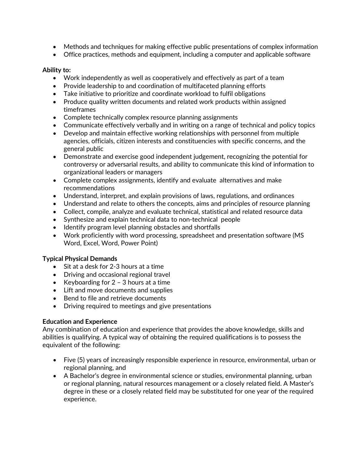- Methods and techniques for making effective public presentations of complex information
- Office practices, methods and equipment, including a computer and applicable software

#### **Ability to:**

- Work independently as well as cooperatively and effectively as part of a team
- Provide leadership to and coordination of multifaceted planning efforts
- Take initiative to prioritize and coordinate workload to fulfil obligations
- Produce quality written documents and related work products within assigned timeframes
- Complete technically complex resource planning assignments
- Communicate effectively verbally and in writing on a range of technical and policy topics
- Develop and maintain effective working relationships with personnel from multiple agencies, officials, citizen interests and constituencies with specific concerns, and the general public
- Demonstrate and exercise good independent judgement, recognizing the potential for controversy or adversarial results, and ability to communicate this kind of information to organizational leaders or managers
- Complete complex assignments, identify and evaluate alternatives and make recommendations
- Understand, interpret, and explain provisions of laws, regulations, and ordinances
- Understand and relate to others the concepts, aims and principles of resource planning
- Collect, compile, analyze and evaluate technical, statistical and related resource data
- Synthesize and explain technical data to non-technical people
- Identify program level planning obstacles and shortfalls
- Work proficiently with word processing, spreadsheet and presentation software (MS Word, Excel, Word, Power Point)

#### **Typical Physical Demands**

- Sit at a desk for 2-3 hours at a time
- Driving and occasional regional travel
- Keyboarding for  $2 3$  hours at a time
- Lift and move documents and supplies
- Bend to file and retrieve documents
- Driving required to meetings and give presentations

#### **Education and Experience**

Any combination of education and experience that provides the above knowledge, skills and abilities is qualifying. A typical way of obtaining the required qualifications is to possess the equivalent of the following:

- Five (5) years of increasingly responsible experience in resource, environmental, urban or regional planning, and
- A Bachelor's degree in environmental science or studies, environmental planning, urban or regional planning, natural resources management or a closely related field. A Master's degree in these or a closely related field may be substituted for one year of the required experience.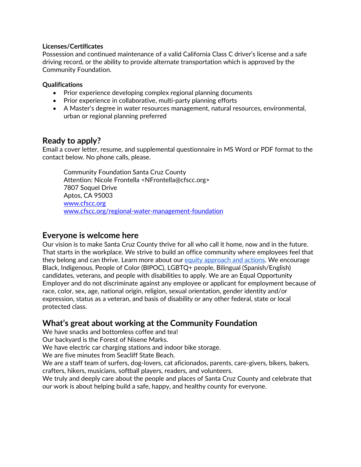#### **Licenses/Certificates**

Possession and continued maintenance of a valid California Class C driver's license and a safe driving record, or the ability to provide alternate transportation which is approved by the Community Foundation.

#### **Qualifications**

- Prior experience developing complex regional planning documents
- Prior experience in collaborative, multi-party planning efforts
- A Master's degree in water resources management, natural resources, environmental, urban or regional planning preferred

## **Ready to apply?**

Email a cover letter, resume, and supplemental questionnaire in MS Word or PDF format to the contact below. No phone calls, please.

Community Foundation Santa Cruz County Attention: Nicole Frontella <NFrontella@cfscc.org> 7807 Soquel Drive Aptos, CA 95003 [www.cfscc.org](http://www.cfscc.org/) [www.cfscc.org/regional-water-management-foundation](http://www.cfscc.org/regional-water-management-foundation)

### **Everyone is welcome here**

Our vision is to make Santa Cruz County thrive for all who call it home, now and in the future. That starts in the workplace. We strive to build an office community where employees feel that they belong and can thrive. Learn more about our [equity approach and actions.](https://www.cfscc.org/articles/our-racial-equity-approach-actions) We encourage Black, Indigenous, People of Color (BIPOC), LGBTQ+ people, Bilingual (Spanish/English) candidates, veterans, and people with disabilities to apply. We are an Equal Opportunity Employer and do not discriminate against any employee or applicant for employment because of race, color, sex, age, national origin, religion, sexual orientation, gender identity and/or expression, status as a veteran, and basis of disability or any other federal, state or local protected class.

## **What's great about working at the Community Foundation**

We have snacks and bottomless coffee and tea!

Our backyard is the Forest of Nisene Marks.

We have electric car charging stations and indoor bike storage.

We are five minutes from Seacliff State Beach.

We are a staff team of surfers, dog-lovers, cat aficionados, parents, care-givers, bikers, bakers, crafters, hikers, musicians, softball players, readers, and volunteers.

We truly and deeply care about the people and places of Santa Cruz County and celebrate that our work is about helping build a safe, happy, and healthy county for everyone.